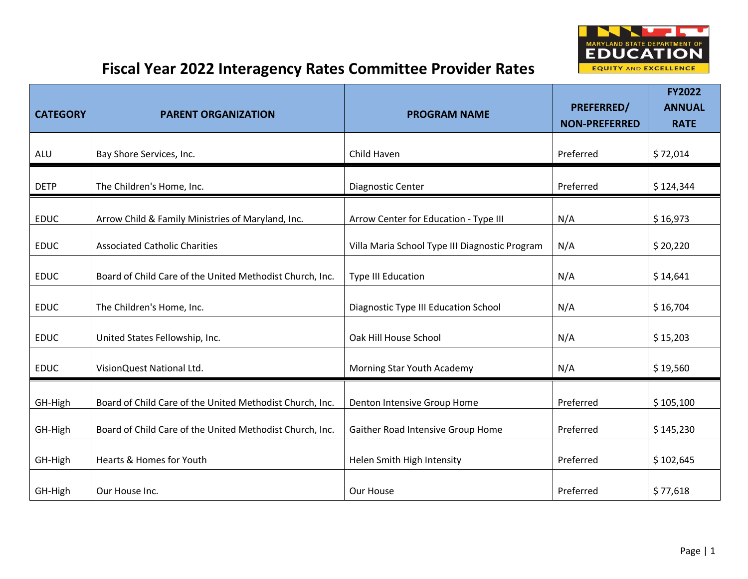

| <b>CATEGORY</b> | <b>PARENT ORGANIZATION</b>                               | <b>PROGRAM NAME</b>                            | PREFERRED/<br><b>NON-PREFERRED</b> | <b>FY2022</b><br><b>ANNUAL</b><br><b>RATE</b> |
|-----------------|----------------------------------------------------------|------------------------------------------------|------------------------------------|-----------------------------------------------|
| ALU             | Bay Shore Services, Inc.                                 | Child Haven                                    | Preferred                          | \$72,014                                      |
| <b>DETP</b>     | The Children's Home, Inc.                                | Diagnostic Center                              | Preferred                          | \$124,344                                     |
| <b>EDUC</b>     | Arrow Child & Family Ministries of Maryland, Inc.        | Arrow Center for Education - Type III          | N/A                                | \$16,973                                      |
| <b>EDUC</b>     | <b>Associated Catholic Charities</b>                     | Villa Maria School Type III Diagnostic Program | N/A                                | \$20,220                                      |
| <b>EDUC</b>     | Board of Child Care of the United Methodist Church, Inc. | <b>Type III Education</b>                      | N/A                                | \$14,641                                      |
| <b>EDUC</b>     | The Children's Home, Inc.                                | Diagnostic Type III Education School           | N/A                                | \$16,704                                      |
| <b>EDUC</b>     | United States Fellowship, Inc.                           | Oak Hill House School                          | N/A                                | \$15,203                                      |
| <b>EDUC</b>     | VisionQuest National Ltd.                                | Morning Star Youth Academy                     | N/A                                | \$19,560                                      |
| GH-High         | Board of Child Care of the United Methodist Church, Inc. | Denton Intensive Group Home                    | Preferred                          | \$105,100                                     |
| GH-High         | Board of Child Care of the United Methodist Church, Inc. | Gaither Road Intensive Group Home              | Preferred                          | \$145,230                                     |
| GH-High         | Hearts & Homes for Youth                                 | Helen Smith High Intensity                     | Preferred                          | \$102,645                                     |
| GH-High         | Our House Inc.                                           | Our House                                      | Preferred                          | \$77,618                                      |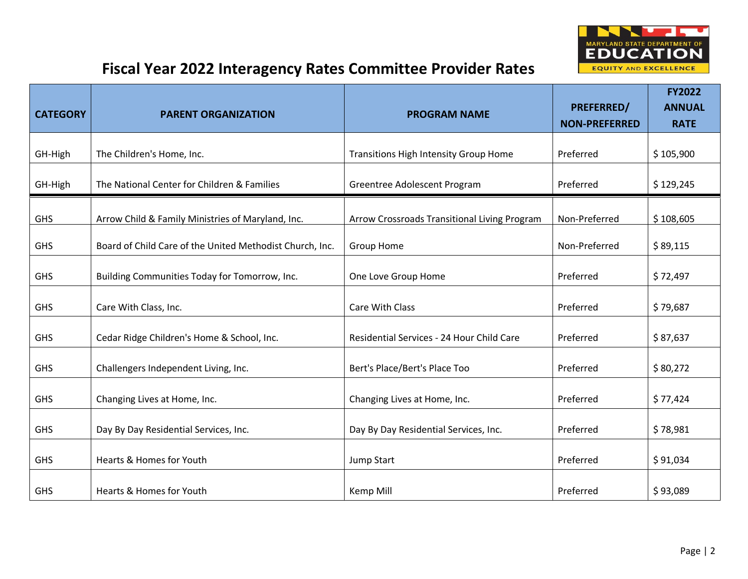

| <b>CATEGORY</b> | <b>PARENT ORGANIZATION</b>                               | <b>PROGRAM NAME</b>                          | PREFERRED/<br><b>NON-PREFERRED</b> | <b>FY2022</b><br><b>ANNUAL</b><br><b>RATE</b> |
|-----------------|----------------------------------------------------------|----------------------------------------------|------------------------------------|-----------------------------------------------|
| GH-High         | The Children's Home, Inc.                                | Transitions High Intensity Group Home        | Preferred                          | \$105,900                                     |
| GH-High         | The National Center for Children & Families              | Greentree Adolescent Program                 | Preferred                          | \$129,245                                     |
| <b>GHS</b>      | Arrow Child & Family Ministries of Maryland, Inc.        | Arrow Crossroads Transitional Living Program | Non-Preferred                      | \$108,605                                     |
| <b>GHS</b>      | Board of Child Care of the United Methodist Church, Inc. | Group Home                                   | Non-Preferred                      | \$89,115                                      |
| <b>GHS</b>      | Building Communities Today for Tomorrow, Inc.            | One Love Group Home                          | Preferred                          | \$72,497                                      |
| <b>GHS</b>      | Care With Class, Inc.                                    | Care With Class                              | Preferred                          | \$79,687                                      |
| <b>GHS</b>      | Cedar Ridge Children's Home & School, Inc.               | Residential Services - 24 Hour Child Care    | Preferred                          | \$87,637                                      |
| <b>GHS</b>      | Challengers Independent Living, Inc.                     | Bert's Place/Bert's Place Too                | Preferred                          | \$80,272                                      |
| <b>GHS</b>      | Changing Lives at Home, Inc.                             | Changing Lives at Home, Inc.                 | Preferred                          | \$77,424                                      |
| <b>GHS</b>      | Day By Day Residential Services, Inc.                    | Day By Day Residential Services, Inc.        | Preferred                          | \$78,981                                      |
| <b>GHS</b>      | Hearts & Homes for Youth                                 | Jump Start                                   | Preferred                          | \$91,034                                      |
| <b>GHS</b>      | Hearts & Homes for Youth                                 | Kemp Mill                                    | Preferred                          | \$93,089                                      |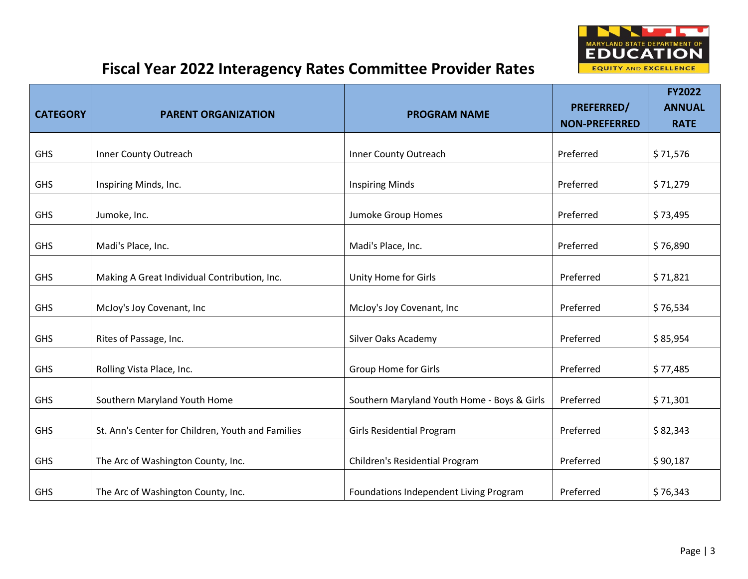

| <b>CATEGORY</b> | <b>PARENT ORGANIZATION</b>                        | <b>PROGRAM NAME</b>                         | PREFERRED/<br><b>NON-PREFERRED</b> | <b>FY2022</b><br><b>ANNUAL</b><br><b>RATE</b> |
|-----------------|---------------------------------------------------|---------------------------------------------|------------------------------------|-----------------------------------------------|
| <b>GHS</b>      | Inner County Outreach                             | Inner County Outreach                       | Preferred                          | \$71,576                                      |
| <b>GHS</b>      | Inspiring Minds, Inc.                             | <b>Inspiring Minds</b>                      | Preferred                          | \$71,279                                      |
| <b>GHS</b>      | Jumoke, Inc.                                      | Jumoke Group Homes                          | Preferred                          | \$73,495                                      |
| <b>GHS</b>      | Madi's Place, Inc.                                | Madi's Place, Inc.                          | Preferred                          | \$76,890                                      |
| <b>GHS</b>      | Making A Great Individual Contribution, Inc.      | Unity Home for Girls                        | Preferred                          | \$71,821                                      |
| <b>GHS</b>      | McJoy's Joy Covenant, Inc                         | McJoy's Joy Covenant, Inc                   | Preferred                          | \$76,534                                      |
| <b>GHS</b>      | Rites of Passage, Inc.                            | Silver Oaks Academy                         | Preferred                          | \$85,954                                      |
| <b>GHS</b>      | Rolling Vista Place, Inc.                         | <b>Group Home for Girls</b>                 | Preferred                          | \$77,485                                      |
| <b>GHS</b>      | Southern Maryland Youth Home                      | Southern Maryland Youth Home - Boys & Girls | Preferred                          | \$71,301                                      |
| <b>GHS</b>      | St. Ann's Center for Children, Youth and Families | <b>Girls Residential Program</b>            | Preferred                          | \$82,343                                      |
| <b>GHS</b>      | The Arc of Washington County, Inc.                | Children's Residential Program              | Preferred                          | \$90,187                                      |
| <b>GHS</b>      | The Arc of Washington County, Inc.                | Foundations Independent Living Program      | Preferred                          | \$76,343                                      |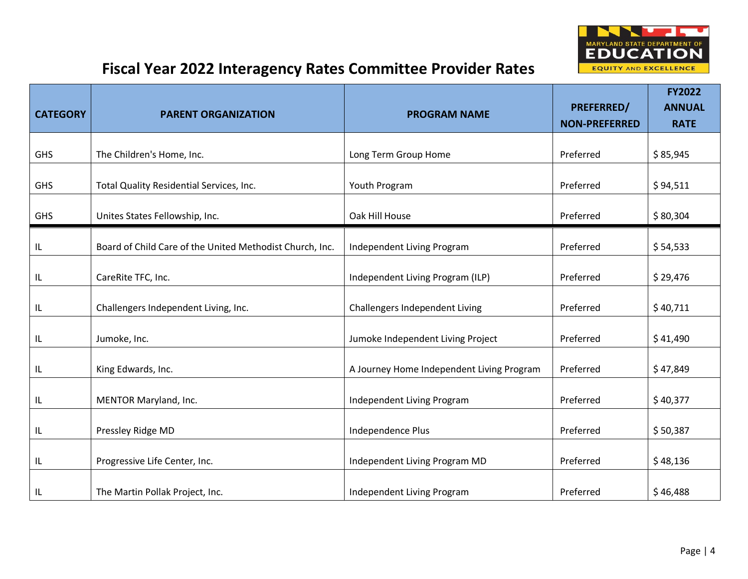

| <b>CATEGORY</b> | <b>PARENT ORGANIZATION</b>                               | <b>PROGRAM NAME</b>                       | PREFERRED/<br><b>NON-PREFERRED</b> | <b>FY2022</b><br><b>ANNUAL</b><br><b>RATE</b> |
|-----------------|----------------------------------------------------------|-------------------------------------------|------------------------------------|-----------------------------------------------|
| <b>GHS</b>      | The Children's Home, Inc.                                | Long Term Group Home                      | Preferred                          | \$85,945                                      |
| <b>GHS</b>      | Total Quality Residential Services, Inc.                 | Youth Program                             | Preferred                          | \$94,511                                      |
| GHS             | Unites States Fellowship, Inc.                           | Oak Hill House                            | Preferred                          | \$80,304                                      |
| IL              | Board of Child Care of the United Methodist Church, Inc. | Independent Living Program                | Preferred                          | \$54,533                                      |
| IL              | CareRite TFC, Inc.                                       | Independent Living Program (ILP)          | Preferred                          | \$29,476                                      |
| IL              | Challengers Independent Living, Inc.                     | Challengers Independent Living            | Preferred                          | \$40,711                                      |
| IL              | Jumoke, Inc.                                             | Jumoke Independent Living Project         | Preferred                          | \$41,490                                      |
| IL              | King Edwards, Inc.                                       | A Journey Home Independent Living Program | Preferred                          | \$47,849                                      |
| IL              | MENTOR Maryland, Inc.                                    | Independent Living Program                | Preferred                          | \$40,377                                      |
| IL              | Pressley Ridge MD                                        | Independence Plus                         | Preferred                          | \$50,387                                      |
| IL              | Progressive Life Center, Inc.                            | Independent Living Program MD             | Preferred                          | \$48,136                                      |
| IL              | The Martin Pollak Project, Inc.                          | Independent Living Program                | Preferred                          | \$46,488                                      |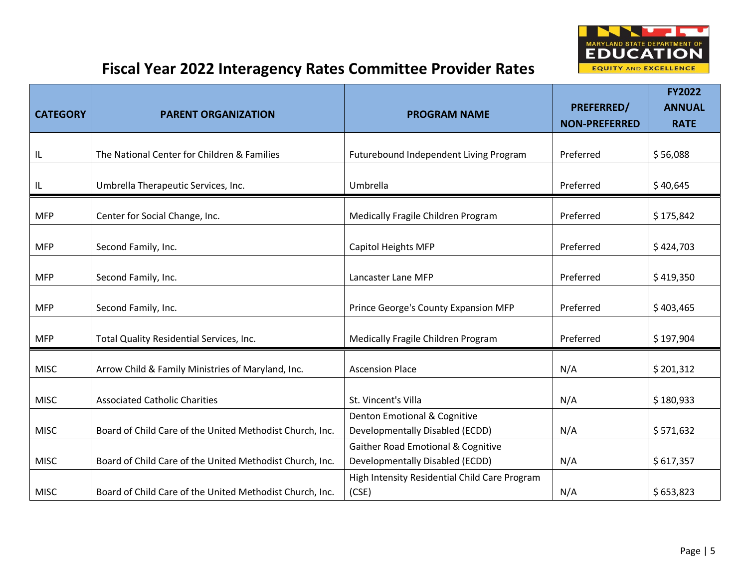

| <b>CATEGORY</b> | <b>PARENT ORGANIZATION</b>                               | <b>PROGRAM NAME</b>                                                              | PREFERRED/<br><b>NON-PREFERRED</b> | <b>FY2022</b><br><b>ANNUAL</b><br><b>RATE</b> |
|-----------------|----------------------------------------------------------|----------------------------------------------------------------------------------|------------------------------------|-----------------------------------------------|
|                 |                                                          |                                                                                  |                                    |                                               |
| IL              | The National Center for Children & Families              | Futurebound Independent Living Program                                           | Preferred                          | \$56,088                                      |
| IL              | Umbrella Therapeutic Services, Inc.                      | Umbrella                                                                         | Preferred                          | \$40,645                                      |
| <b>MFP</b>      | Center for Social Change, Inc.                           | Medically Fragile Children Program                                               | Preferred                          | \$175,842                                     |
| <b>MFP</b>      | Second Family, Inc.                                      | Capitol Heights MFP                                                              | Preferred                          | \$424,703                                     |
| <b>MFP</b>      | Second Family, Inc.                                      | Lancaster Lane MFP                                                               | Preferred                          | \$419,350                                     |
| <b>MFP</b>      | Second Family, Inc.                                      | Prince George's County Expansion MFP                                             | Preferred                          | \$403,465                                     |
| <b>MFP</b>      | Total Quality Residential Services, Inc.                 | Medically Fragile Children Program                                               | Preferred                          | \$197,904                                     |
| <b>MISC</b>     | Arrow Child & Family Ministries of Maryland, Inc.        | <b>Ascension Place</b>                                                           | N/A                                | \$201,312                                     |
| <b>MISC</b>     | <b>Associated Catholic Charities</b>                     | St. Vincent's Villa                                                              | N/A                                | \$180,933                                     |
| <b>MISC</b>     | Board of Child Care of the United Methodist Church, Inc. | Denton Emotional & Cognitive<br>Developmentally Disabled (ECDD)                  | N/A                                | \$571,632                                     |
| <b>MISC</b>     | Board of Child Care of the United Methodist Church, Inc. | <b>Gaither Road Emotional &amp; Cognitive</b><br>Developmentally Disabled (ECDD) | N/A                                | \$617,357                                     |
| <b>MISC</b>     | Board of Child Care of the United Methodist Church, Inc. | High Intensity Residential Child Care Program<br>(CSE)                           | N/A                                | \$653,823                                     |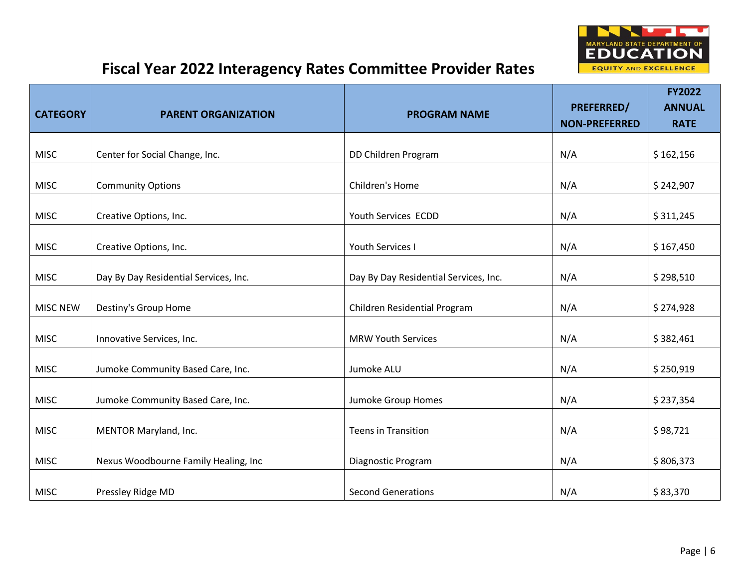

|                 |                                       |                                       | <b>PREFERRED/</b>    | <b>FY2022</b><br><b>ANNUAL</b> |
|-----------------|---------------------------------------|---------------------------------------|----------------------|--------------------------------|
| <b>CATEGORY</b> | <b>PARENT ORGANIZATION</b>            | <b>PROGRAM NAME</b>                   | <b>NON-PREFERRED</b> | <b>RATE</b>                    |
|                 |                                       |                                       |                      |                                |
| <b>MISC</b>     | Center for Social Change, Inc.        | DD Children Program                   | N/A                  | \$162,156                      |
| <b>MISC</b>     | <b>Community Options</b>              | Children's Home                       | N/A                  | \$242,907                      |
| <b>MISC</b>     | Creative Options, Inc.                | Youth Services ECDD                   | N/A                  | \$311,245                      |
| <b>MISC</b>     | Creative Options, Inc.                | Youth Services I                      | N/A                  | \$167,450                      |
| <b>MISC</b>     | Day By Day Residential Services, Inc. | Day By Day Residential Services, Inc. | N/A                  | \$298,510                      |
| <b>MISC NEW</b> | Destiny's Group Home                  | Children Residential Program          | N/A                  | \$274,928                      |
| <b>MISC</b>     | Innovative Services, Inc.             | <b>MRW Youth Services</b>             | N/A                  | \$382,461                      |
| <b>MISC</b>     | Jumoke Community Based Care, Inc.     | Jumoke ALU                            | N/A                  | \$250,919                      |
| <b>MISC</b>     | Jumoke Community Based Care, Inc.     | Jumoke Group Homes                    | N/A                  | \$237,354                      |
| <b>MISC</b>     | MENTOR Maryland, Inc.                 | <b>Teens in Transition</b>            | N/A                  | \$98,721                       |
| <b>MISC</b>     | Nexus Woodbourne Family Healing, Inc  | Diagnostic Program                    | N/A                  | \$806,373                      |
| <b>MISC</b>     | Pressley Ridge MD                     | <b>Second Generations</b>             | N/A                  | \$83,370                       |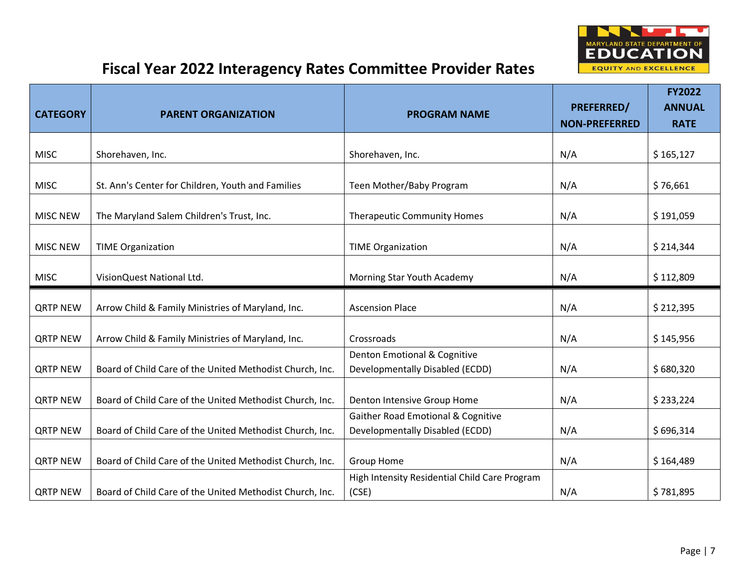

| <b>CATEGORY</b> | <b>PARENT ORGANIZATION</b>                               | <b>PROGRAM NAME</b>                                    | PREFERRED/           | <b>FY2022</b><br><b>ANNUAL</b> |
|-----------------|----------------------------------------------------------|--------------------------------------------------------|----------------------|--------------------------------|
|                 |                                                          |                                                        | <b>NON-PREFERRED</b> | <b>RATE</b>                    |
| <b>MISC</b>     | Shorehaven, Inc.                                         | Shorehaven, Inc.                                       | N/A                  | \$165,127                      |
| <b>MISC</b>     | St. Ann's Center for Children, Youth and Families        | Teen Mother/Baby Program                               | N/A                  | \$76,661                       |
| <b>MISC NEW</b> | The Maryland Salem Children's Trust, Inc.                | <b>Therapeutic Community Homes</b>                     | N/A                  | \$191,059                      |
| <b>MISC NEW</b> | <b>TIME Organization</b>                                 | <b>TIME Organization</b>                               | N/A                  | \$214,344                      |
| <b>MISC</b>     | VisionQuest National Ltd.                                | Morning Star Youth Academy                             | N/A                  | \$112,809                      |
|                 |                                                          |                                                        |                      |                                |
| <b>QRTP NEW</b> | Arrow Child & Family Ministries of Maryland, Inc.        | <b>Ascension Place</b>                                 | N/A                  | \$212,395                      |
| <b>QRTP NEW</b> | Arrow Child & Family Ministries of Maryland, Inc.        | Crossroads                                             | N/A                  | \$145,956                      |
|                 |                                                          | Denton Emotional & Cognitive                           |                      |                                |
| <b>QRTP NEW</b> | Board of Child Care of the United Methodist Church, Inc. | Developmentally Disabled (ECDD)                        | N/A                  | \$680,320                      |
| <b>QRTP NEW</b> | Board of Child Care of the United Methodist Church, Inc. | Denton Intensive Group Home                            | N/A                  | \$233,224                      |
|                 |                                                          | <b>Gaither Road Emotional &amp; Cognitive</b>          |                      |                                |
| <b>QRTP NEW</b> | Board of Child Care of the United Methodist Church, Inc. | Developmentally Disabled (ECDD)                        | N/A                  | \$696,314                      |
| <b>QRTP NEW</b> | Board of Child Care of the United Methodist Church, Inc. | <b>Group Home</b>                                      | N/A                  | \$164,489                      |
| <b>QRTP NEW</b> | Board of Child Care of the United Methodist Church, Inc. | High Intensity Residential Child Care Program<br>(CSE) | N/A                  | \$781,895                      |
|                 |                                                          |                                                        |                      |                                |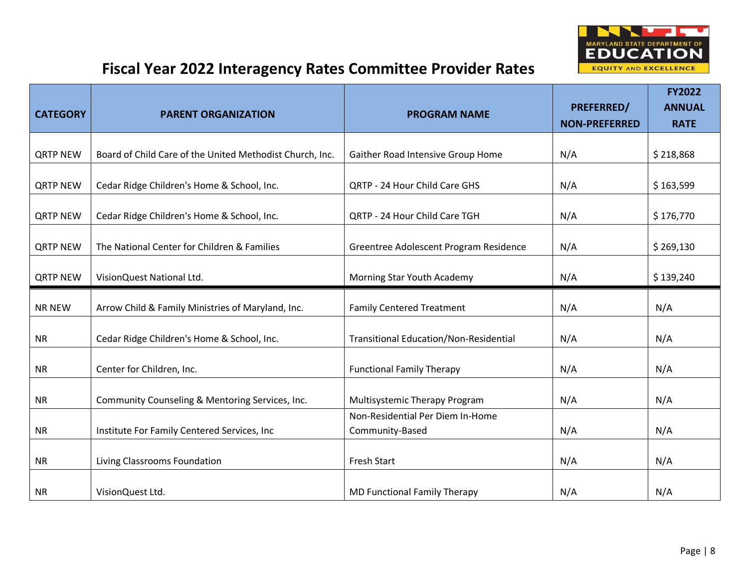

| <b>CATEGORY</b> | <b>PARENT ORGANIZATION</b>                               | <b>PROGRAM NAME</b>                                 | <b>PREFERRED/</b><br><b>NON-PREFERRED</b> | <b>FY2022</b><br><b>ANNUAL</b><br><b>RATE</b> |
|-----------------|----------------------------------------------------------|-----------------------------------------------------|-------------------------------------------|-----------------------------------------------|
| <b>QRTP NEW</b> | Board of Child Care of the United Methodist Church, Inc. | Gaither Road Intensive Group Home                   | N/A                                       | \$218,868                                     |
|                 |                                                          |                                                     |                                           |                                               |
| <b>QRTP NEW</b> | Cedar Ridge Children's Home & School, Inc.               | <b>QRTP - 24 Hour Child Care GHS</b>                | N/A                                       | \$163,599                                     |
| <b>QRTP NEW</b> | Cedar Ridge Children's Home & School, Inc.               | QRTP - 24 Hour Child Care TGH                       | N/A                                       | \$176,770                                     |
| <b>QRTP NEW</b> | The National Center for Children & Families              | Greentree Adolescent Program Residence              | N/A                                       | \$269,130                                     |
| <b>QRTP NEW</b> | VisionQuest National Ltd.                                | Morning Star Youth Academy                          | N/A                                       | \$139,240                                     |
| <b>NR NEW</b>   | Arrow Child & Family Ministries of Maryland, Inc.        | <b>Family Centered Treatment</b>                    | N/A                                       | N/A                                           |
| <b>NR</b>       | Cedar Ridge Children's Home & School, Inc.               | <b>Transitional Education/Non-Residential</b>       | N/A                                       | N/A                                           |
| NR              | Center for Children, Inc.                                | <b>Functional Family Therapy</b>                    | N/A                                       | N/A                                           |
| <b>NR</b>       | Community Counseling & Mentoring Services, Inc.          | Multisystemic Therapy Program                       | N/A                                       | N/A                                           |
| <b>NR</b>       | Institute For Family Centered Services, Inc.             | Non-Residential Per Diem In-Home<br>Community-Based | N/A                                       | N/A                                           |
| <b>NR</b>       | Living Classrooms Foundation                             | Fresh Start                                         | N/A                                       | N/A                                           |
| <b>NR</b>       | VisionQuest Ltd.                                         | MD Functional Family Therapy                        | N/A                                       | N/A                                           |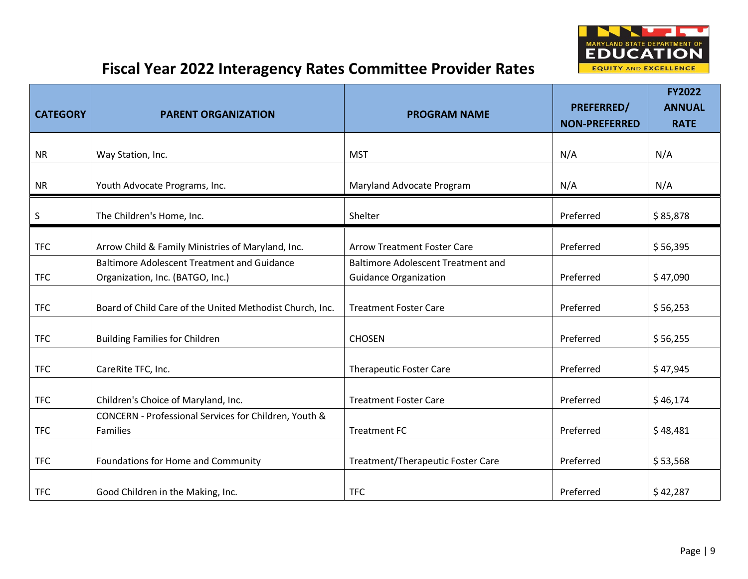

| <b>CATEGORY</b> | <b>PARENT ORGANIZATION</b>                                                             | <b>PROGRAM NAME</b>                                                       | PREFERRED/<br><b>NON-PREFERRED</b> | <b>FY2022</b><br><b>ANNUAL</b><br><b>RATE</b> |
|-----------------|----------------------------------------------------------------------------------------|---------------------------------------------------------------------------|------------------------------------|-----------------------------------------------|
| <b>NR</b>       | Way Station, Inc.                                                                      | <b>MST</b>                                                                | N/A                                | N/A                                           |
| <b>NR</b>       | Youth Advocate Programs, Inc.                                                          | Maryland Advocate Program                                                 | N/A                                | N/A                                           |
| $\sf S$         | The Children's Home, Inc.                                                              | Shelter                                                                   | Preferred                          | \$85,878                                      |
| <b>TFC</b>      | Arrow Child & Family Ministries of Maryland, Inc.                                      | <b>Arrow Treatment Foster Care</b>                                        | Preferred                          | \$56,395                                      |
| <b>TFC</b>      | <b>Baltimore Adolescent Treatment and Guidance</b><br>Organization, Inc. (BATGO, Inc.) | <b>Baltimore Adolescent Treatment and</b><br><b>Guidance Organization</b> | Preferred                          | \$47,090                                      |
| <b>TFC</b>      | Board of Child Care of the United Methodist Church, Inc.                               | <b>Treatment Foster Care</b>                                              | Preferred                          | \$56,253                                      |
| <b>TFC</b>      | <b>Building Families for Children</b>                                                  | <b>CHOSEN</b>                                                             | Preferred                          | \$56,255                                      |
| <b>TFC</b>      | CareRite TFC, Inc.                                                                     | <b>Therapeutic Foster Care</b>                                            | Preferred                          | \$47,945                                      |
| <b>TFC</b>      | Children's Choice of Maryland, Inc.                                                    | <b>Treatment Foster Care</b>                                              | Preferred                          | \$46,174                                      |
| <b>TFC</b>      | CONCERN - Professional Services for Children, Youth &<br><b>Families</b>               | <b>Treatment FC</b>                                                       | Preferred                          | \$48,481                                      |
| <b>TFC</b>      | Foundations for Home and Community                                                     | Treatment/Therapeutic Foster Care                                         | Preferred                          | \$53,568                                      |
| <b>TFC</b>      | Good Children in the Making, Inc.                                                      | <b>TFC</b>                                                                | Preferred                          | \$42,287                                      |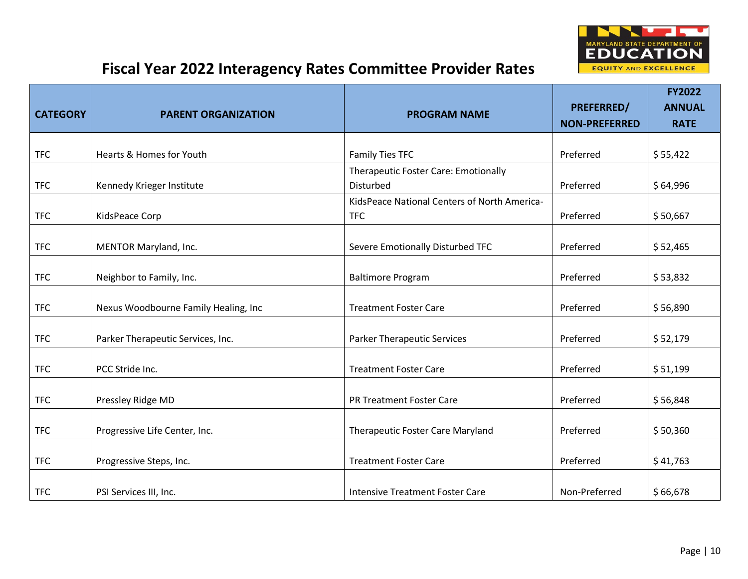

| <b>CATEGORY</b> | <b>PARENT ORGANIZATION</b>           | <b>PROGRAM NAME</b>                               | PREFERRED/<br><b>NON-PREFERRED</b> | <b>FY2022</b><br><b>ANNUAL</b><br><b>RATE</b> |
|-----------------|--------------------------------------|---------------------------------------------------|------------------------------------|-----------------------------------------------|
|                 |                                      |                                                   |                                    |                                               |
| <b>TFC</b>      | <b>Hearts &amp; Homes for Youth</b>  | Family Ties TFC                                   | Preferred                          | \$55,422                                      |
| <b>TFC</b>      | Kennedy Krieger Institute            | Therapeutic Foster Care: Emotionally<br>Disturbed | Preferred                          | \$64,996                                      |
|                 |                                      | KidsPeace National Centers of North America-      |                                    |                                               |
| <b>TFC</b>      | KidsPeace Corp                       | <b>TFC</b>                                        | Preferred                          | \$50,667                                      |
|                 |                                      |                                                   |                                    |                                               |
| <b>TFC</b>      | MENTOR Maryland, Inc.                | Severe Emotionally Disturbed TFC                  | Preferred                          | \$52,465                                      |
|                 |                                      |                                                   |                                    |                                               |
| <b>TFC</b>      | Neighbor to Family, Inc.             | <b>Baltimore Program</b>                          | Preferred                          | \$53,832                                      |
|                 |                                      |                                                   |                                    |                                               |
| <b>TFC</b>      | Nexus Woodbourne Family Healing, Inc | <b>Treatment Foster Care</b>                      | Preferred                          | \$56,890                                      |
|                 |                                      |                                                   |                                    |                                               |
| <b>TFC</b>      | Parker Therapeutic Services, Inc.    | <b>Parker Therapeutic Services</b>                | Preferred                          | \$52,179                                      |
|                 |                                      |                                                   |                                    |                                               |
| <b>TFC</b>      | PCC Stride Inc.                      | <b>Treatment Foster Care</b>                      | Preferred                          | \$51,199                                      |
|                 |                                      |                                                   |                                    |                                               |
| <b>TFC</b>      | Pressley Ridge MD                    | <b>PR Treatment Foster Care</b>                   | Preferred                          | \$56,848                                      |
|                 |                                      |                                                   |                                    |                                               |
| <b>TFC</b>      | Progressive Life Center, Inc.        | Therapeutic Foster Care Maryland                  | Preferred                          | \$50,360                                      |
|                 |                                      |                                                   |                                    |                                               |
| <b>TFC</b>      | Progressive Steps, Inc.              | <b>Treatment Foster Care</b>                      | Preferred                          | \$41,763                                      |
|                 |                                      |                                                   |                                    |                                               |
| <b>TFC</b>      | PSI Services III, Inc.               | <b>Intensive Treatment Foster Care</b>            | Non-Preferred                      | \$66,678                                      |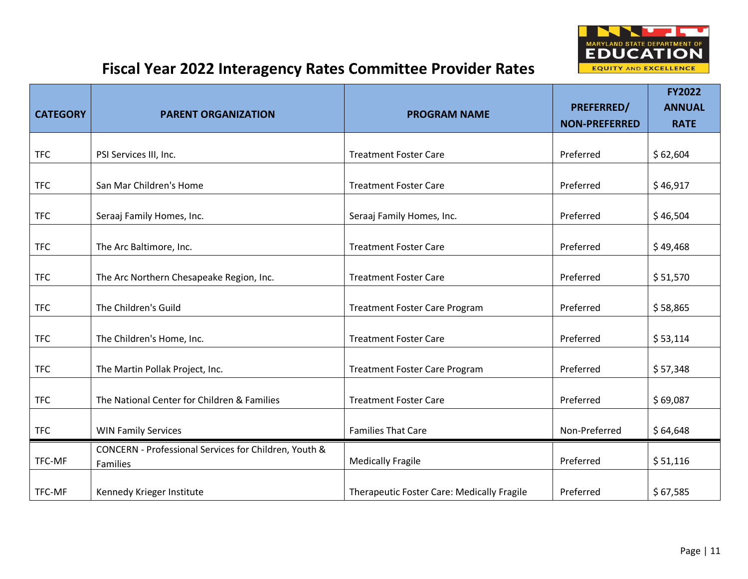

| <b>CATEGORY</b> | <b>PARENT ORGANIZATION</b>                                        | <b>PROGRAM NAME</b>                        | <b>PREFERRED/</b><br><b>NON-PREFERRED</b> | <b>FY2022</b><br><b>ANNUAL</b><br><b>RATE</b> |
|-----------------|-------------------------------------------------------------------|--------------------------------------------|-------------------------------------------|-----------------------------------------------|
|                 |                                                                   |                                            |                                           |                                               |
| <b>TFC</b>      | PSI Services III, Inc.                                            | <b>Treatment Foster Care</b>               | Preferred                                 | \$62,604                                      |
| <b>TFC</b>      | San Mar Children's Home                                           | <b>Treatment Foster Care</b>               | Preferred                                 | \$46,917                                      |
| <b>TFC</b>      | Seraaj Family Homes, Inc.                                         | Seraaj Family Homes, Inc.                  | Preferred                                 | \$46,504                                      |
| <b>TFC</b>      | The Arc Baltimore, Inc.                                           | <b>Treatment Foster Care</b>               | Preferred                                 | \$49,468                                      |
| <b>TFC</b>      | The Arc Northern Chesapeake Region, Inc.                          | <b>Treatment Foster Care</b>               | Preferred                                 | \$51,570                                      |
| <b>TFC</b>      | The Children's Guild                                              | <b>Treatment Foster Care Program</b>       | Preferred                                 | \$58,865                                      |
| <b>TFC</b>      | The Children's Home, Inc.                                         | <b>Treatment Foster Care</b>               | Preferred                                 | \$53,114                                      |
| <b>TFC</b>      | The Martin Pollak Project, Inc.                                   | <b>Treatment Foster Care Program</b>       | Preferred                                 | \$57,348                                      |
| <b>TFC</b>      | The National Center for Children & Families                       | <b>Treatment Foster Care</b>               | Preferred                                 | \$69,087                                      |
| <b>TFC</b>      | <b>WIN Family Services</b>                                        | <b>Families That Care</b>                  | Non-Preferred                             | \$64,648                                      |
| TFC-MF          | CONCERN - Professional Services for Children, Youth &<br>Families | <b>Medically Fragile</b>                   | Preferred                                 | \$51,116                                      |
| TFC-MF          | Kennedy Krieger Institute                                         | Therapeutic Foster Care: Medically Fragile | Preferred                                 | \$67,585                                      |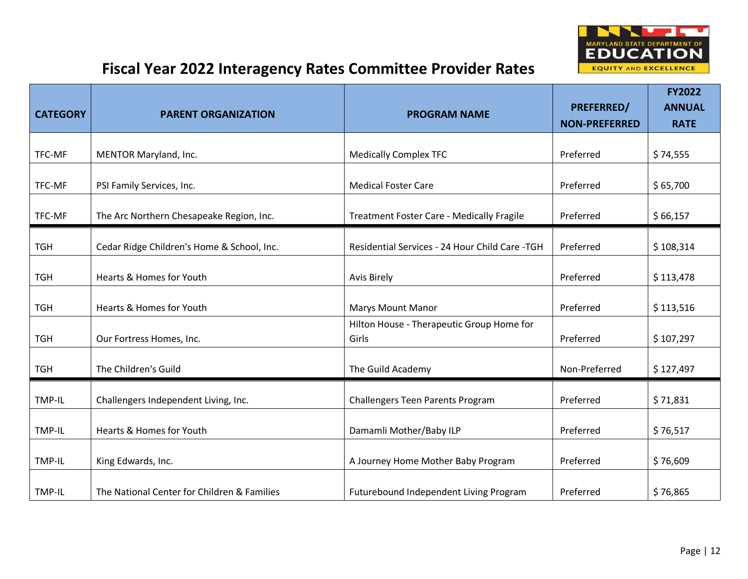

| <b>CATEGORY</b> | <b>PARENT ORGANIZATION</b>                  | <b>PROGRAM NAME</b>                                | PREFERRED/<br><b>NON-PREFERRED</b> | <b>FY2022</b><br><b>ANNUAL</b><br><b>RATE</b> |
|-----------------|---------------------------------------------|----------------------------------------------------|------------------------------------|-----------------------------------------------|
| TFC-MF          | MENTOR Maryland, Inc.                       | <b>Medically Complex TFC</b>                       | Preferred                          | \$74,555                                      |
| TFC-MF          | PSI Family Services, Inc.                   | <b>Medical Foster Care</b>                         | Preferred                          | \$65,700                                      |
| TFC-MF          | The Arc Northern Chesapeake Region, Inc.    | <b>Treatment Foster Care - Medically Fragile</b>   | Preferred                          | \$66,157                                      |
| <b>TGH</b>      | Cedar Ridge Children's Home & School, Inc.  | Residential Services - 24 Hour Child Care - TGH    | Preferred                          | \$108,314                                     |
| <b>TGH</b>      | <b>Hearts &amp; Homes for Youth</b>         | <b>Avis Birely</b>                                 | Preferred                          | \$113,478                                     |
| <b>TGH</b>      | Hearts & Homes for Youth                    | <b>Marys Mount Manor</b>                           | Preferred                          | \$113,516                                     |
| <b>TGH</b>      | Our Fortress Homes, Inc.                    | Hilton House - Therapeutic Group Home for<br>Girls | Preferred                          | \$107,297                                     |
| <b>TGH</b>      | The Children's Guild                        | The Guild Academy                                  | Non-Preferred                      | \$127,497                                     |
| TMP-IL          | Challengers Independent Living, Inc.        | <b>Challengers Teen Parents Program</b>            | Preferred                          | \$71,831                                      |
| TMP-IL          | Hearts & Homes for Youth                    | Damamli Mother/Baby ILP                            | Preferred                          | \$76,517                                      |
| TMP-IL          | King Edwards, Inc.                          | A Journey Home Mother Baby Program                 | Preferred                          | \$76,609                                      |
| TMP-IL          | The National Center for Children & Families | Futurebound Independent Living Program             | Preferred                          | \$76,865                                      |